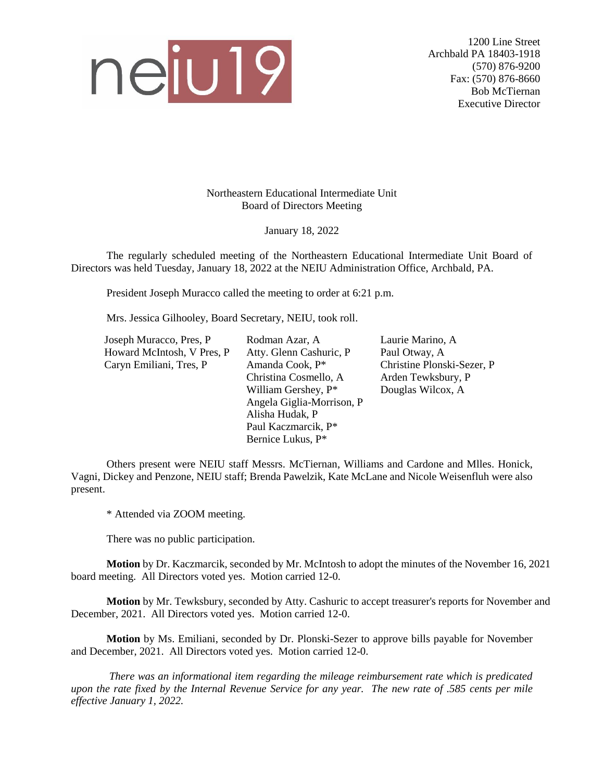

1200 Line Street Archbald PA 18403-1918 (570) 876-9200 Fax: (570) 876-8660 Bob McTiernan Executive Director

Northeastern Educational Intermediate Unit Board of Directors Meeting

January 18, 2022

The regularly scheduled meeting of the Northeastern Educational Intermediate Unit Board of Directors was held Tuesday, January 18, 2022 at the NEIU Administration Office, Archbald, PA.

President Joseph Muracco called the meeting to order at 6:21 p.m.

Mrs. Jessica Gilhooley, Board Secretary, NEIU, took roll.

| Joseph Muracco, Pres, P    | Rodman Azar, A            | Laurie Marino, A           |  |  |
|----------------------------|---------------------------|----------------------------|--|--|
| Howard McIntosh, V Pres, P | Atty. Glenn Cashuric, P   | Paul Otway, A              |  |  |
| Caryn Emiliani, Tres, P    | Amanda Cook, P*           | Christine Plonski-Sezer, P |  |  |
|                            | Christina Cosmello, A     | Arden Tewksbury, P         |  |  |
|                            | William Gershey, P*       | Douglas Wilcox, A          |  |  |
|                            | Angela Giglia-Morrison, P |                            |  |  |
|                            | Alisha Hudak, P           |                            |  |  |
|                            | Paul Kaczmarcik, P*       |                            |  |  |
|                            | Bernice Lukus, P*         |                            |  |  |

Others present were NEIU staff Messrs. McTiernan, Williams and Cardone and Mlles. Honick, Vagni, Dickey and Penzone, NEIU staff; Brenda Pawelzik, Kate McLane and Nicole Weisenfluh were also present.

\* Attended via ZOOM meeting.

There was no public participation.

**Motion** by Dr. Kaczmarcik, seconded by Mr. McIntosh to adopt the minutes of the November 16, 2021 board meeting. All Directors voted yes. Motion carried 12-0.

**Motion** by Mr. Tewksbury, seconded by Atty. Cashuric to accept treasurer's reports for November and December, 2021. All Directors voted yes. Motion carried 12-0.

**Motion** by Ms. Emiliani, seconded by Dr. Plonski-Sezer to approve bills payable for November and December, 2021. All Directors voted yes.Motion carried 12-0.

*There was an informational item regarding the mileage reimbursement rate which is predicated upon the rate fixed by the Internal Revenue Service for any year. The new rate of .585 cents per mile effective January 1, 2022.*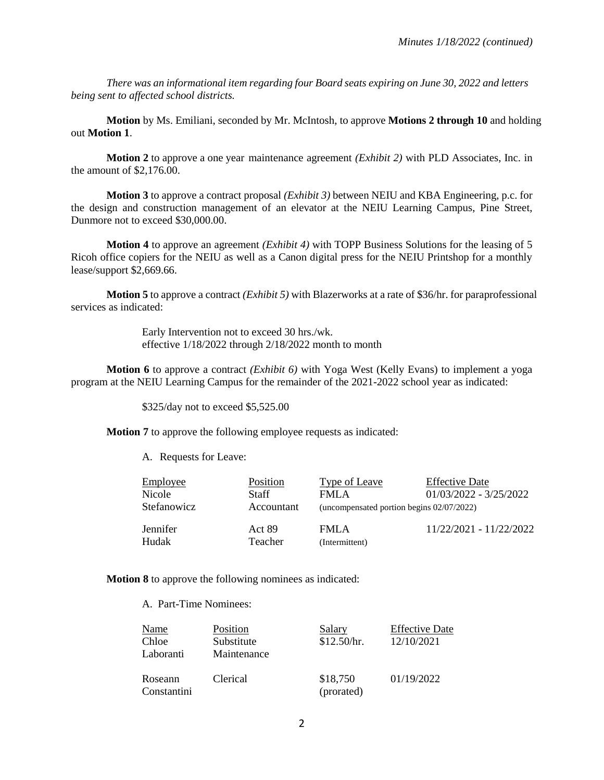*There was an informational item regarding four Board seats expiring on June 30, 2022 and letters being sent to affected school districts.*

**Motion** by Ms. Emiliani, seconded by Mr. McIntosh, to approve **Motions 2 through 10** and holding out **Motion 1**.

**Motion 2** to approve a one year maintenance agreement *(Exhibit 2)* with PLD Associates, Inc. in the amount of \$2,176.00.

**Motion 3** to approve a contract proposal *(Exhibit 3)* between NEIU and KBA Engineering, p.c. for the design and construction management of an elevator at the NEIU Learning Campus, Pine Street, Dunmore not to exceed \$30,000.00.

**Motion 4** to approve an agreement *(Exhibit 4)* with TOPP Business Solutions for the leasing of 5 Ricoh office copiers for the NEIU as well as a Canon digital press for the NEIU Printshop for a monthly lease/support \$2,669.66.

**Motion 5** to approve a contract *(Exhibit 5)* with Blazerworks at a rate of \$36/hr. for paraprofessional services as indicated:

> Early Intervention not to exceed 30 hrs./wk. effective 1/18/2022 through 2/18/2022 month to month

**Motion 6** to approve a contract *(Exhibit 6)* with Yoga West (Kelly Evans) to implement a yoga program at the NEIU Learning Campus for the remainder of the 2021-2022 school year as indicated:

\$325/day not to exceed \$5,525.00

**Motion 7** to approve the following employee requests as indicated:

A. Requests for Leave:

| <b>Employee</b><br>Nicole<br><b>Stefanowicz</b> | Position<br>Staff<br>Accountant | Type of Leave<br>FMLA<br>(uncompensated portion begins 02/07/2022) | <b>Effective Date</b><br>$01/03/2022 - 3/25/2022$ |
|-------------------------------------------------|---------------------------------|--------------------------------------------------------------------|---------------------------------------------------|
| Jennifer                                        | <b>Act 89</b>                   | <b>FMLA</b>                                                        | 11/22/2021 - 11/22/2022                           |
| Hudak                                           | Teacher                         | (Intermittent)                                                     |                                                   |

**Motion 8** to approve the following nominees as indicated:

A. Part-Time Nominees:

| Name<br>Chloe<br>Laboranti | Position<br>Substitute<br>Maintenance | <b>Salary</b><br>\$12.50/hr. | <b>Effective Date</b><br>12/10/2021 |
|----------------------------|---------------------------------------|------------------------------|-------------------------------------|
| Roseann<br>Constantini     | Clerical                              | \$18,750<br>(prorated)       | 01/19/2022                          |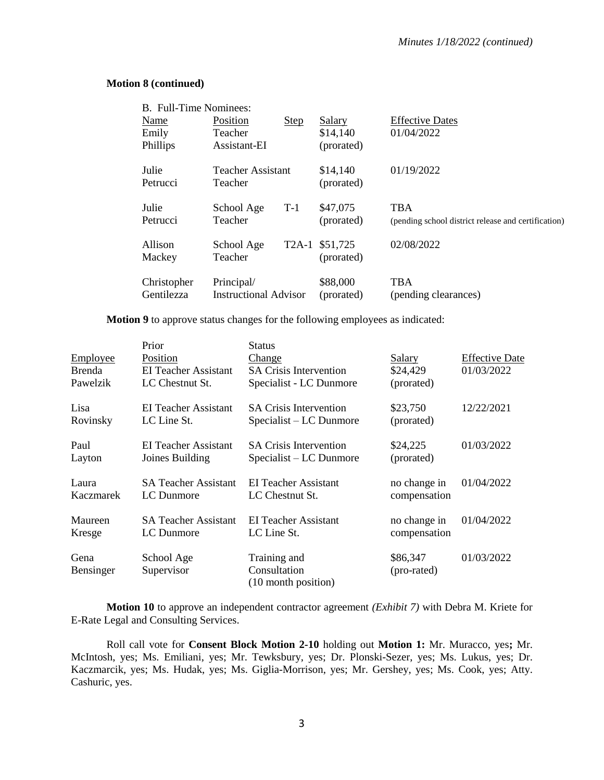## **Motion 8 (continued)**

| <b>B.</b> Full-Time Nominees: |                              |       |                |                                                     |
|-------------------------------|------------------------------|-------|----------------|-----------------------------------------------------|
| Name                          | Position                     | Step  | Salary         | <b>Effective Dates</b>                              |
| Emily                         | Teacher                      |       | \$14,140       | 01/04/2022                                          |
| Phillips                      | Assistant-EI                 |       | (prorated)     |                                                     |
| Julie                         | Teacher Assistant            |       | \$14,140       | 01/19/2022                                          |
| Petrucci                      | Teacher                      |       | (prorated)     |                                                     |
| Julie                         | School Age                   | $T-1$ | \$47,075       | TBA                                                 |
| Petrucci                      | Teacher                      |       | (prorated)     | (pending school district release and certification) |
| Allison                       | School Age                   |       | T2A-1 \$51,725 | 02/08/2022                                          |
| Mackey                        | Teacher                      |       | (prorated)     |                                                     |
| Christopher                   | Principal/                   |       | \$88,000       | <b>TBA</b>                                          |
| Gentilezza                    | <b>Instructional Advisor</b> |       | (prorated)     | (pending clearances)                                |

## **Motion 9** to approve status changes for the following employees as indicated:

|           | Prior                       | <b>Status</b>                 |               |                       |
|-----------|-----------------------------|-------------------------------|---------------|-----------------------|
| Employee  | Position                    | Change                        | <b>Salary</b> | <b>Effective Date</b> |
| Brenda    | EI Teacher Assistant        | <b>SA Crisis Intervention</b> | \$24,429      | 01/03/2022            |
| Pawelzik  | LC Chestnut St.             | Specialist - LC Dunmore       | (prorated)    |                       |
| Lisa      | EI Teacher Assistant        | <b>SA Crisis Intervention</b> | \$23,750      | 12/22/2021            |
| Rovinsky  | LC Line St.                 | $Specialist - LC$ Dunmore     | (prorated)    |                       |
| Paul      | EI Teacher Assistant        | <b>SA Crisis Intervention</b> | \$24,225      | 01/03/2022            |
| Layton    | Joines Building             | Specialist – LC Dunmore       | (prorated)    |                       |
|           |                             |                               |               |                       |
| Laura     | <b>SA Teacher Assistant</b> | EI Teacher Assistant          | no change in  | 01/04/2022            |
| Kaczmarek | LC Dunmore                  | LC Chestnut St.               | compensation  |                       |
| Maureen   | <b>SA Teacher Assistant</b> | EI Teacher Assistant          | no change in  | 01/04/2022            |
| Kresge    | LC Dunmore                  | LC Line St.                   | compensation  |                       |
| Gena      | School Age                  | Training and                  | \$86,347      | 01/03/2022            |
| Bensinger | Supervisor                  | Consultation                  | (pro-rated)   |                       |
|           |                             | (10 month position)           |               |                       |

**Motion 10** to approve an independent contractor agreement *(Exhibit 7)* with Debra M. Kriete for E-Rate Legal and Consulting Services.

Roll call vote for **Consent Block Motion 2-10** holding out **Motion 1:** Mr. Muracco, yes**;** Mr. McIntosh, yes; Ms. Emiliani, yes; Mr. Tewksbury, yes; Dr. Plonski-Sezer, yes; Ms. Lukus, yes; Dr. Kaczmarcik, yes; Ms. Hudak, yes; Ms. Giglia-Morrison, yes; Mr. Gershey, yes; Ms. Cook, yes; Atty. Cashuric, yes.